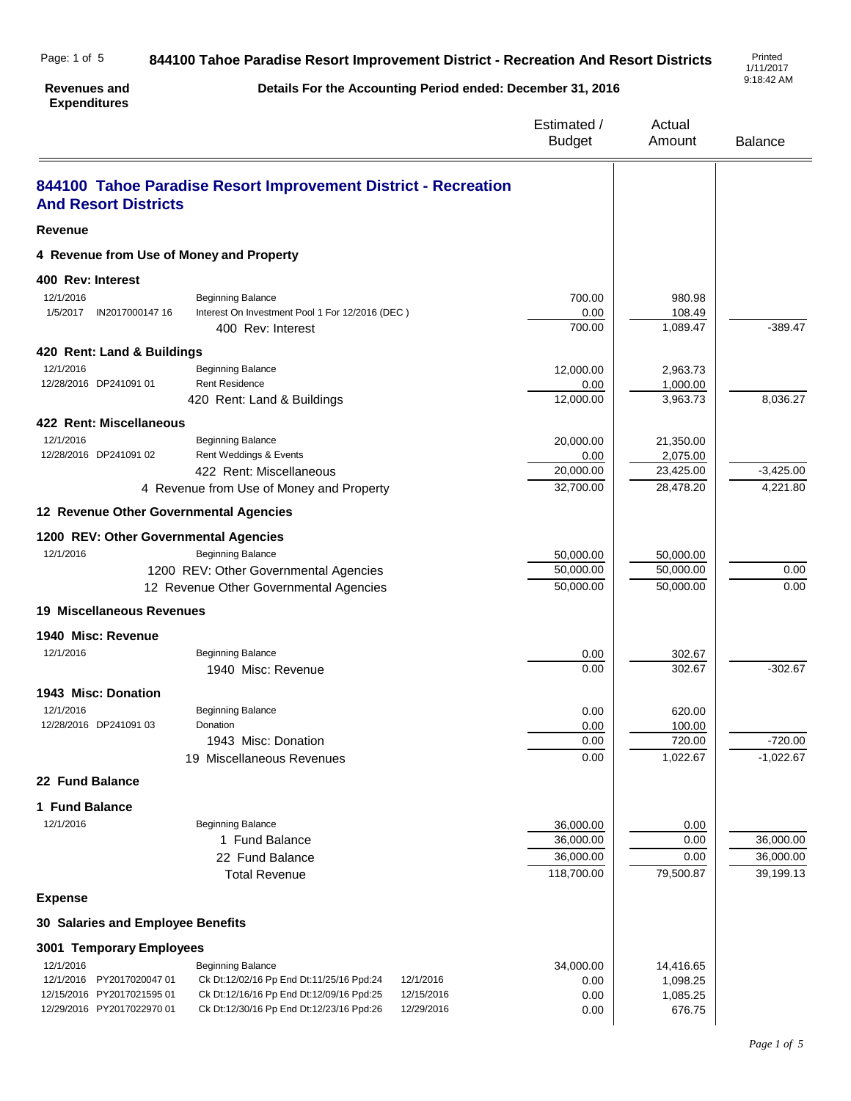| Page: 1 of 5 | 844100 Tahoe Paradise Resort Improvement District - Recreation And Resort Districts | Printed<br>1/11/201         |
|--------------|-------------------------------------------------------------------------------------|-----------------------------|
|              |                                                                                     | $\sim$ $\sim$ $\sim$ $\sim$ |

**Revenues and Expenditures**

**Details For the Accounting Period ended: December 31, 2016**

1/11/2017 9:18:42 AM

|                                          |                                                                | Estimated /<br><b>Budget</b> | Actual<br>Amount       | <b>Balance</b>          |
|------------------------------------------|----------------------------------------------------------------|------------------------------|------------------------|-------------------------|
| <b>And Resort Districts</b>              | 844100 Tahoe Paradise Resort Improvement District - Recreation |                              |                        |                         |
| <b>Revenue</b>                           |                                                                |                              |                        |                         |
| 4 Revenue from Use of Money and Property |                                                                |                              |                        |                         |
| 400 Rev: Interest                        |                                                                |                              |                        |                         |
| 12/1/2016                                | <b>Beginning Balance</b>                                       | 700.00                       | 980.98                 |                         |
| 1/5/2017<br>IN2017000147 16              | Interest On Investment Pool 1 For 12/2016 (DEC)                | 0.00                         | 108.49                 |                         |
|                                          | 400 Rev: Interest                                              | 700.00                       | 1,089.47               | $-389.47$               |
| 420 Rent: Land & Buildings               |                                                                |                              |                        |                         |
| 12/1/2016                                | <b>Beginning Balance</b>                                       | 12,000.00                    | 2,963.73               |                         |
| 12/28/2016 DP241091 01                   | <b>Rent Residence</b>                                          | 0.00                         | 1,000.00               |                         |
|                                          | 420 Rent: Land & Buildings                                     | 12,000.00                    | 3,963.73               | 8,036.27                |
| 422 Rent: Miscellaneous                  |                                                                |                              |                        |                         |
| 12/1/2016                                | <b>Beginning Balance</b>                                       | 20,000.00                    | 21,350.00              |                         |
| 12/28/2016 DP241091 02                   | Rent Weddings & Events                                         | 0.00                         | 2,075.00               |                         |
|                                          | 422 Rent: Miscellaneous                                        | 20,000.00<br>32,700.00       | 23,425.00<br>28,478.20 | $-3,425.00$<br>4,221.80 |
|                                          | 4 Revenue from Use of Money and Property                       |                              |                        |                         |
| 12 Revenue Other Governmental Agencies   |                                                                |                              |                        |                         |
| 1200 REV: Other Governmental Agencies    |                                                                |                              |                        |                         |
| 12/1/2016                                | <b>Beginning Balance</b>                                       | 50,000.00                    | 50,000.00              |                         |
|                                          | 1200 REV: Other Governmental Agencies                          | 50,000.00                    | 50,000.00              | 0.00                    |
|                                          | 12 Revenue Other Governmental Agencies                         | 50,000.00                    | 50,000.00              | 0.00                    |
| <b>19 Miscellaneous Revenues</b>         |                                                                |                              |                        |                         |
| 1940 Misc: Revenue                       |                                                                |                              |                        |                         |
| 12/1/2016                                | <b>Beginning Balance</b>                                       | 0.00                         | 302.67                 |                         |
|                                          | 1940 Misc: Revenue                                             | 0.00                         | 302.67                 | $-302.67$               |
| 1943 Misc: Donation                      |                                                                |                              |                        |                         |
| 12/1/2016                                | <b>Beginning Balance</b>                                       | 0.00                         | 620.00                 |                         |
| 12/28/2016 DP241091 03                   | Donation                                                       | 0.00                         | 100.00                 |                         |
|                                          | 1943 Misc: Donation                                            | 0.00                         | 720.00                 | $-720.00$               |
|                                          | 19 Miscellaneous Revenues                                      | 0.00                         | 1,022.67               | $-1,022.67$             |
| 22 Fund Balance                          |                                                                |                              |                        |                         |
| 1 Fund Balance                           |                                                                |                              |                        |                         |
| 12/1/2016                                | <b>Beginning Balance</b>                                       | 36,000.00                    | 0.00                   |                         |
|                                          | 1 Fund Balance                                                 | 36,000.00                    | 0.00                   | 36,000.00               |
|                                          | 22 Fund Balance                                                | 36,000.00                    | 0.00                   | 36,000.00               |
|                                          | <b>Total Revenue</b>                                           | 118,700.00                   | 79,500.87              | 39,199.13               |
| <b>Expense</b>                           |                                                                |                              |                        |                         |
| 30 Salaries and Employee Benefits        |                                                                |                              |                        |                         |
| 3001 Temporary Employees                 |                                                                |                              |                        |                         |
| 12/1/2016                                | <b>Beginning Balance</b>                                       | 34,000.00                    | 14,416.65              |                         |
| 12/1/2016<br>PY2017020047 01             | Ck Dt:12/02/16 Pp End Dt:11/25/16 Ppd:24<br>12/1/2016          | 0.00                         | 1,098.25               |                         |
| 12/15/2016 PY2017021595 01               | Ck Dt:12/16/16 Pp End Dt:12/09/16 Ppd:25<br>12/15/2016         | 0.00                         | 1,085.25               |                         |
| 12/29/2016 PY2017022970 01               | Ck Dt:12/30/16 Pp End Dt:12/23/16 Ppd:26<br>12/29/2016         | 0.00                         | 676.75                 |                         |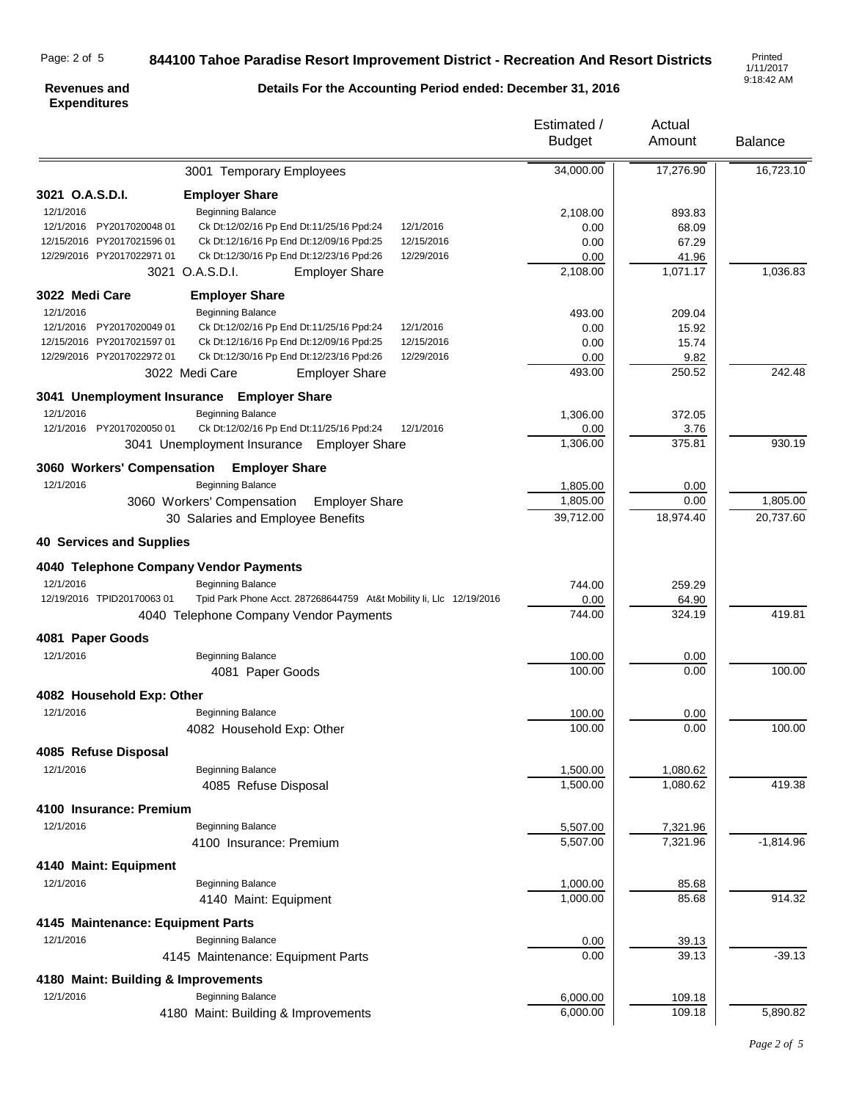## Page: 2 of 5

## **844100 Tahoe Paradise Resort Improvement District - Recreation And Resort Districts**

1/11/2017 9:18:42 AM

#### **Revenues and Expenditures**

# **Details For the Accounting Period ended: December 31, 2016**

Estimated /

Actual

|                                     |                                                                     | <b>Budget</b> | Amount    | <b>Balance</b> |
|-------------------------------------|---------------------------------------------------------------------|---------------|-----------|----------------|
|                                     | 3001 Temporary Employees                                            | 34,000.00     | 17,276.90 | 16,723.10      |
| 3021 O.A.S.D.I.                     | <b>Employer Share</b>                                               |               |           |                |
| 12/1/2016                           | <b>Beginning Balance</b>                                            | 2,108.00      | 893.83    |                |
| 12/1/2016 PY2017020048 01           | Ck Dt:12/02/16 Pp End Dt:11/25/16 Ppd:24<br>12/1/2016               | 0.00          | 68.09     |                |
| 12/15/2016 PY2017021596 01          | Ck Dt:12/16/16 Pp End Dt:12/09/16 Ppd:25<br>12/15/2016              | 0.00          | 67.29     |                |
| 12/29/2016 PY2017022971 01          | Ck Dt:12/30/16 Pp End Dt:12/23/16 Ppd:26<br>12/29/2016              | 0.00          | 41.96     |                |
|                                     | 3021 O.A.S.D.I.<br><b>Employer Share</b>                            | 2,108.00      | 1,071.17  | 1,036.83       |
| 3022 Medi Care                      | <b>Employer Share</b>                                               |               |           |                |
| 12/1/2016                           | <b>Beginning Balance</b>                                            | 493.00        | 209.04    |                |
| 12/1/2016 PY2017020049 01           | Ck Dt:12/02/16 Pp End Dt:11/25/16 Ppd:24<br>12/1/2016               | 0.00          | 15.92     |                |
| 12/15/2016 PY2017021597 01          | Ck Dt:12/16/16 Pp End Dt:12/09/16 Ppd:25<br>12/15/2016              | 0.00          | 15.74     |                |
| 12/29/2016 PY2017022972 01          | Ck Dt:12/30/16 Pp End Dt:12/23/16 Ppd:26<br>12/29/2016              | 0.00          | 9.82      |                |
|                                     | 3022 Medi Care<br><b>Employer Share</b>                             | 493.00        | 250.52    | 242.48         |
|                                     | 3041 Unemployment Insurance Employer Share                          |               |           |                |
| 12/1/2016                           | <b>Beginning Balance</b>                                            | 1,306.00      | 372.05    |                |
| 12/1/2016 PY2017020050 01           | Ck Dt:12/02/16 Pp End Dt:11/25/16 Ppd:24<br>12/1/2016               | 0.00          | 3.76      |                |
|                                     | 3041 Unemployment Insurance Employer Share                          | 1,306.00      | 375.81    | 930.19         |
| 3060 Workers' Compensation          | <b>Employer Share</b>                                               |               |           |                |
| 12/1/2016                           | <b>Beginning Balance</b>                                            | 1,805.00      | 0.00      |                |
|                                     | 3060 Workers' Compensation<br><b>Employer Share</b>                 | 1,805.00      | 0.00      | 1,805.00       |
|                                     |                                                                     | 39,712.00     | 18,974.40 | 20,737.60      |
|                                     | 30 Salaries and Employee Benefits                                   |               |           |                |
| <b>40 Services and Supplies</b>     |                                                                     |               |           |                |
|                                     | 4040 Telephone Company Vendor Payments                              |               |           |                |
| 12/1/2016                           | <b>Beginning Balance</b>                                            | 744.00        | 259.29    |                |
| 12/19/2016 TPID20170063 01          | Tpid Park Phone Acct. 287268644759 At&t Mobility Ii, Llc 12/19/2016 | 0.00          | 64.90     | 419.81         |
|                                     | 4040 Telephone Company Vendor Payments                              | 744.00        | 324.19    |                |
| 4081 Paper Goods                    |                                                                     |               |           |                |
| 12/1/2016                           | <b>Beginning Balance</b>                                            | 100.00        | 0.00      |                |
|                                     | 4081 Paper Goods                                                    | 100.00        | 0.00      | 100.00         |
| 4082 Household Exp: Other           |                                                                     |               |           |                |
| 12/1/2016                           | <b>Beginning Balance</b>                                            | 100.00        | 0.00      |                |
|                                     | 4082 Household Exp: Other                                           | 100.00        | 0.00      | 100.00         |
| 4085 Refuse Disposal                |                                                                     |               |           |                |
| 12/1/2016                           | <b>Beginning Balance</b>                                            | 1,500.00      | 1,080.62  |                |
|                                     | 4085 Refuse Disposal                                                | 1,500.00      | 1,080.62  | 419.38         |
| 4100 Insurance: Premium             |                                                                     |               |           |                |
| 12/1/2016                           | <b>Beginning Balance</b>                                            | 5,507.00      | 7,321.96  |                |
|                                     | 4100 Insurance: Premium                                             | 5,507.00      | 7,321.96  | $-1,814.96$    |
| 4140 Maint: Equipment               |                                                                     |               |           |                |
| 12/1/2016                           | <b>Beginning Balance</b>                                            | 1,000.00      | 85.68     |                |
|                                     | 4140 Maint: Equipment                                               | 1,000.00      | 85.68     | 914.32         |
| 4145 Maintenance: Equipment Parts   |                                                                     |               |           |                |
| 12/1/2016                           | <b>Beginning Balance</b>                                            | 0.00          | 39.13     |                |
|                                     | 4145 Maintenance: Equipment Parts                                   | 0.00          | 39.13     | $-39.13$       |
| 4180 Maint: Building & Improvements |                                                                     |               |           |                |
| 12/1/2016                           | <b>Beginning Balance</b>                                            | 6,000.00      | 109.18    |                |
|                                     | 4180 Maint: Building & Improvements                                 | 6,000.00      | 109.18    | 5,890.82       |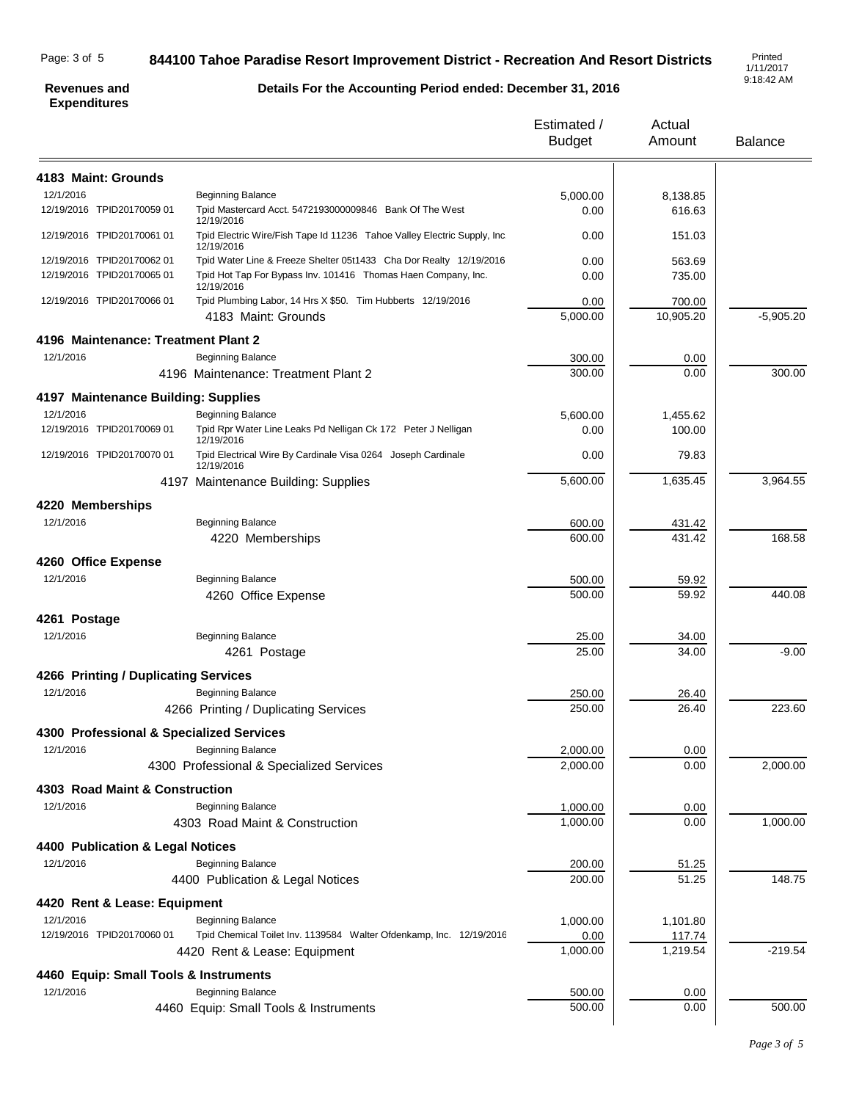## Page: 3 of 5

## **844100 Tahoe Paradise Resort Improvement District - Recreation And Resort Districts**

1/11/2017 9:18:42 AM

#### **Revenues and Expenditures**

# **Details For the Accounting Period ended: December 31, 2016**

|                                          |                                                                                       | Estimated /<br><b>Budget</b> | Actual<br>Amount | <b>Balance</b> |
|------------------------------------------|---------------------------------------------------------------------------------------|------------------------------|------------------|----------------|
| 4183 Maint: Grounds                      |                                                                                       |                              |                  |                |
| 12/1/2016                                | <b>Beginning Balance</b>                                                              | 5,000.00                     | 8,138.85         |                |
| 12/19/2016 TPID20170059 01               | Tpid Mastercard Acct. 5472193000009846 Bank Of The West<br>12/19/2016                 | 0.00                         | 616.63           |                |
| 12/19/2016 TPID20170061 01               | Tpid Electric Wire/Fish Tape Id 11236 Tahoe Valley Electric Supply, Inc<br>12/19/2016 | 0.00                         | 151.03           |                |
| 12/19/2016 TPID20170062 01               | Tpid Water Line & Freeze Shelter 05t1433 Cha Dor Realty 12/19/2016                    | 0.00                         | 563.69           |                |
| 12/19/2016 TPID20170065 01               | Tpid Hot Tap For Bypass Inv. 101416 Thomas Haen Company, Inc.<br>12/19/2016           | 0.00                         | 735.00           |                |
| 12/19/2016 TPID20170066 01               | Tpid Plumbing Labor, 14 Hrs X \$50. Tim Hubberts 12/19/2016                           | 0.00                         | 700.00           |                |
|                                          | 4183 Maint: Grounds                                                                   | 5,000.00                     | 10,905.20        | $-5,905.20$    |
| 4196 Maintenance: Treatment Plant 2      |                                                                                       |                              |                  |                |
| 12/1/2016                                | <b>Beginning Balance</b>                                                              | 300.00                       | 0.00             |                |
|                                          | 4196 Maintenance: Treatment Plant 2                                                   | 300.00                       | 0.00             | 300.00         |
| 4197 Maintenance Building: Supplies      |                                                                                       |                              |                  |                |
| 12/1/2016                                | <b>Beginning Balance</b>                                                              | 5,600.00                     | 1,455.62         |                |
| 12/19/2016 TPID20170069 01               | Tpid Rpr Water Line Leaks Pd Nelligan Ck 172 Peter J Nelligan<br>12/19/2016           | 0.00                         | 100.00           |                |
| 12/19/2016 TPID20170070 01               | Tpid Electrical Wire By Cardinale Visa 0264 Joseph Cardinale<br>12/19/2016            | 0.00                         | 79.83            |                |
|                                          | 4197 Maintenance Building: Supplies                                                   | 5,600.00                     | 1,635.45         | 3,964.55       |
| 4220 Memberships                         |                                                                                       |                              |                  |                |
| 12/1/2016                                | <b>Beginning Balance</b>                                                              | 600.00                       | 431.42           |                |
|                                          | 4220 Memberships                                                                      | 600.00                       | 431.42           | 168.58         |
| 4260 Office Expense                      |                                                                                       |                              |                  |                |
| 12/1/2016                                | <b>Beginning Balance</b>                                                              | 500.00                       | 59.92            |                |
|                                          | 4260 Office Expense                                                                   | 500.00                       | 59.92            | 440.08         |
| 4261 Postage                             |                                                                                       |                              |                  |                |
| 12/1/2016                                | <b>Beginning Balance</b>                                                              | 25.00                        | 34.00            |                |
|                                          | 4261 Postage                                                                          | 25.00                        | 34.00            | $-9.00$        |
| 4266 Printing / Duplicating Services     |                                                                                       |                              |                  |                |
| 12/1/2016                                | Beginning Balance                                                                     | 250.00                       | 26.40            |                |
|                                          | 4266 Printing / Duplicating Services                                                  | 250.00                       | 26.40            | 223.60         |
| 4300 Professional & Specialized Services |                                                                                       |                              |                  |                |
| 12/1/2016                                | <b>Beginning Balance</b>                                                              | 2,000.00                     | 0.00             |                |
|                                          | 4300 Professional & Specialized Services                                              | 2,000.00                     | 0.00             | 2,000.00       |
| 4303 Road Maint & Construction           |                                                                                       |                              |                  |                |
| 12/1/2016                                | <b>Beginning Balance</b>                                                              | 1,000.00                     | 0.00             |                |
|                                          | 4303 Road Maint & Construction                                                        | 1,000.00                     | 0.00             | 1,000.00       |
| 4400 Publication & Legal Notices         |                                                                                       |                              |                  |                |
| 12/1/2016                                | <b>Beginning Balance</b>                                                              | 200.00                       | 51.25            |                |
|                                          | 4400 Publication & Legal Notices                                                      | 200.00                       | 51.25            | 148.75         |
| 4420 Rent & Lease: Equipment             |                                                                                       |                              |                  |                |
| 12/1/2016                                | <b>Beginning Balance</b>                                                              | 1,000.00                     | 1,101.80         |                |
| 12/19/2016 TPID20170060 01               | Tpid Chemical Toilet Inv. 1139584 Walter Ofdenkamp, Inc. 12/19/2016                   | 0.00                         | 117.74           |                |
|                                          | 4420 Rent & Lease: Equipment                                                          | 1,000.00                     | 1,219.54         | $-219.54$      |
| 4460 Equip: Small Tools & Instruments    |                                                                                       |                              |                  |                |
| 12/1/2016                                | <b>Beginning Balance</b>                                                              | 500.00                       | 0.00             |                |
|                                          | 4460 Equip: Small Tools & Instruments                                                 | 500.00                       | 0.00             | 500.00         |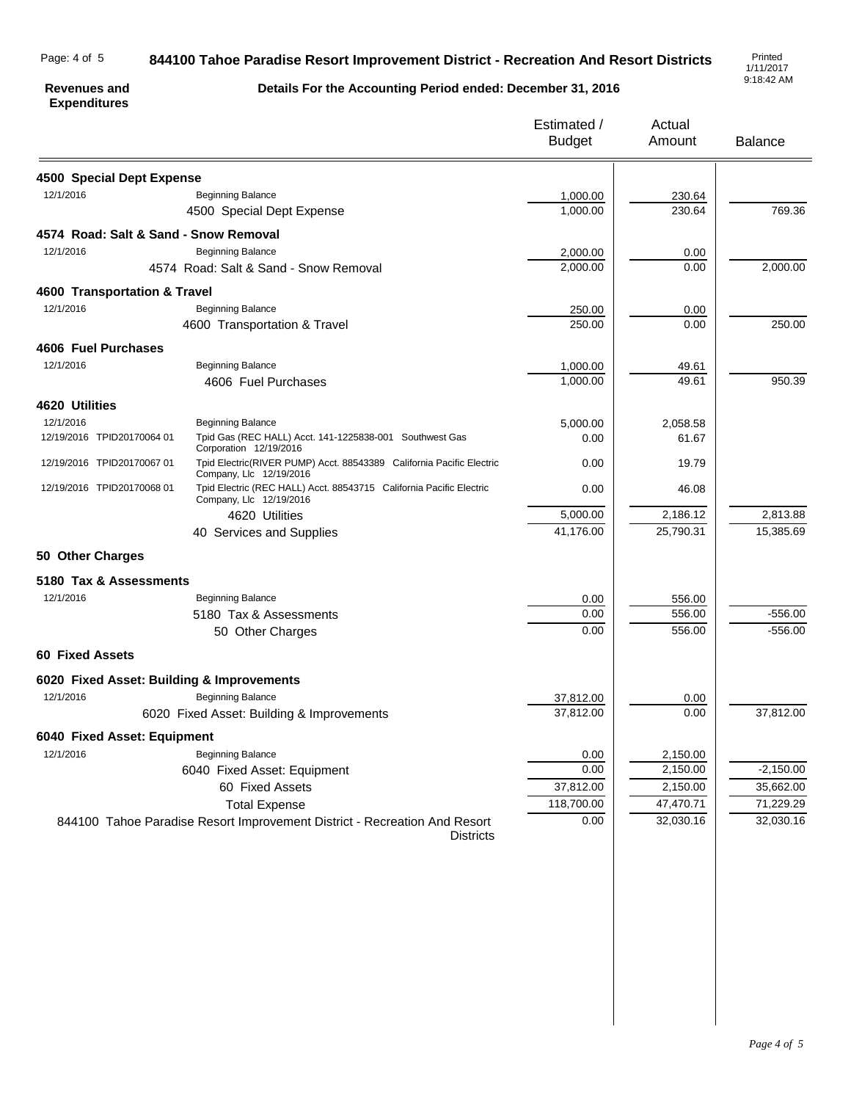## 844100 Tahoe Paradise Resort Improvement District - Recreation And Resort Districts

1/11/2017 9:18:42 AM

## **Revenues and Expenditures**

## **Details For the Accounting Period ended: December 31, 2016**

|                                           |                                                                                                 | Estimated /<br><b>Budget</b> | Actual<br>Amount | <b>Balance</b> |
|-------------------------------------------|-------------------------------------------------------------------------------------------------|------------------------------|------------------|----------------|
| 4500 Special Dept Expense                 |                                                                                                 |                              |                  |                |
| 12/1/2016                                 | <b>Beginning Balance</b>                                                                        | 1,000.00                     | 230.64           |                |
|                                           | 4500 Special Dept Expense                                                                       | 1,000.00                     | 230.64           | 769.36         |
| 4574 Road: Salt & Sand - Snow Removal     |                                                                                                 |                              |                  |                |
| 12/1/2016                                 | <b>Beginning Balance</b>                                                                        | 2,000.00                     | 0.00             |                |
|                                           | 4574 Road: Salt & Sand - Snow Removal                                                           | 2,000.00                     | 0.00             | 2,000.00       |
| 4600 Transportation & Travel              |                                                                                                 |                              |                  |                |
| 12/1/2016                                 | <b>Beginning Balance</b>                                                                        | 250.00                       | 0.00             |                |
|                                           | 4600 Transportation & Travel                                                                    | 250.00                       | 0.00             | 250.00         |
| 4606 Fuel Purchases                       |                                                                                                 |                              |                  |                |
| 12/1/2016                                 | <b>Beginning Balance</b>                                                                        | 1,000.00                     | 49.61            |                |
|                                           | 4606 Fuel Purchases                                                                             | 1,000.00                     | 49.61            | 950.39         |
| 4620 Utilities                            |                                                                                                 |                              |                  |                |
| 12/1/2016                                 | <b>Beginning Balance</b>                                                                        | 5,000.00                     | 2,058.58         |                |
| 12/19/2016 TPID20170064 01                | Tpid Gas (REC HALL) Acct. 141-1225838-001 Southwest Gas<br>Corporation 12/19/2016               | 0.00                         | 61.67            |                |
| 12/19/2016 TPID20170067 01                | Tpid Electric(RIVER PUMP) Acct. 88543389 California Pacific Electric<br>Company, Llc 12/19/2016 | 0.00                         | 19.79            |                |
| 12/19/2016 TPID20170068 01                | Tpid Electric (REC HALL) Acct. 88543715 California Pacific Electric<br>Company, Llc 12/19/2016  | 0.00                         | 46.08            |                |
|                                           | 4620 Utilities                                                                                  | 5,000.00                     | 2,186.12         | 2,813.88       |
|                                           | 40 Services and Supplies                                                                        | 41,176.00                    | 25,790.31        | 15,385.69      |
| 50 Other Charges                          |                                                                                                 |                              |                  |                |
| 5180 Tax & Assessments                    |                                                                                                 |                              |                  |                |
| 12/1/2016                                 | <b>Beginning Balance</b>                                                                        | 0.00                         | 556.00           |                |
|                                           | 5180 Tax & Assessments                                                                          | 0.00                         | 556.00           | $-556.00$      |
|                                           | 50 Other Charges                                                                                | 0.00                         | 556.00           | $-556.00$      |
| <b>60 Fixed Assets</b>                    |                                                                                                 |                              |                  |                |
| 6020 Fixed Asset: Building & Improvements |                                                                                                 |                              |                  |                |
| 12/1/2016                                 | <b>Beginning Balance</b>                                                                        | 37,812.00                    | 0.00             |                |
|                                           | 6020 Fixed Asset: Building & Improvements                                                       | 37,812.00                    | 0.00             | 37,812.00      |
| 6040 Fixed Asset: Equipment               |                                                                                                 |                              |                  |                |
| 12/1/2016                                 | <b>Beginning Balance</b>                                                                        | 0.00                         | 2,150.00         |                |
|                                           | 6040 Fixed Asset: Equipment                                                                     | 0.00                         | 2,150.00         | $-2,150.00$    |
|                                           | 60 Fixed Assets                                                                                 | 37,812.00                    | 2,150.00         | 35,662.00      |
|                                           | <b>Total Expense</b>                                                                            | 118,700.00                   | 47,470.71        | 71,229.29      |
|                                           | 844100 Tahoe Paradise Resort Improvement District - Recreation And Resort<br><b>Districts</b>   | 0.00                         | 32,030.16        | 32,030.16      |
|                                           |                                                                                                 |                              |                  |                |